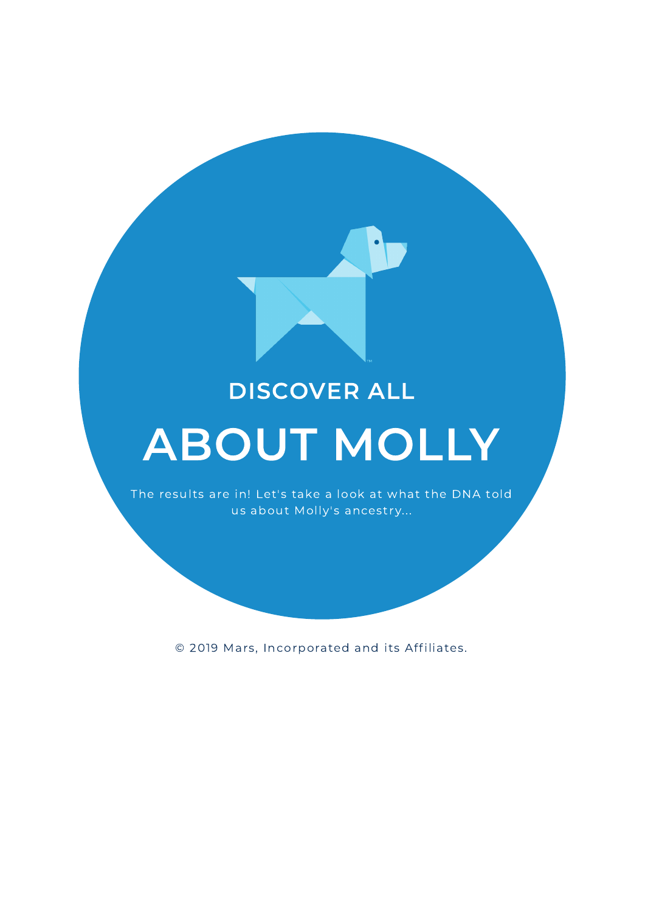## DISCOVER ALL

## ABOUT MOLLY

The results are in! Let's take a look at what the DNA told us about Molly's ancestry...

© 2019 Mars, Incorporated and its Affiliates.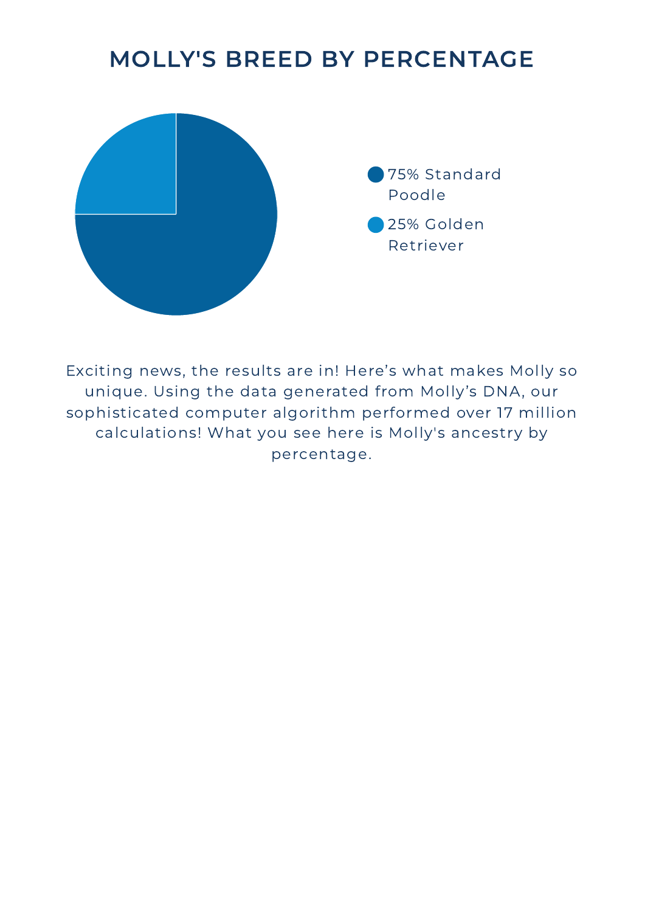## MOLLY'S BREED BY PERCENTAGE



Exciting news, the results are in! Here's what makes Molly so unique. Using the data generated from Molly's DNA, our sophisticated computer algorithm performed over 17 million calculations! What you see here is Molly's ancestry by percentage.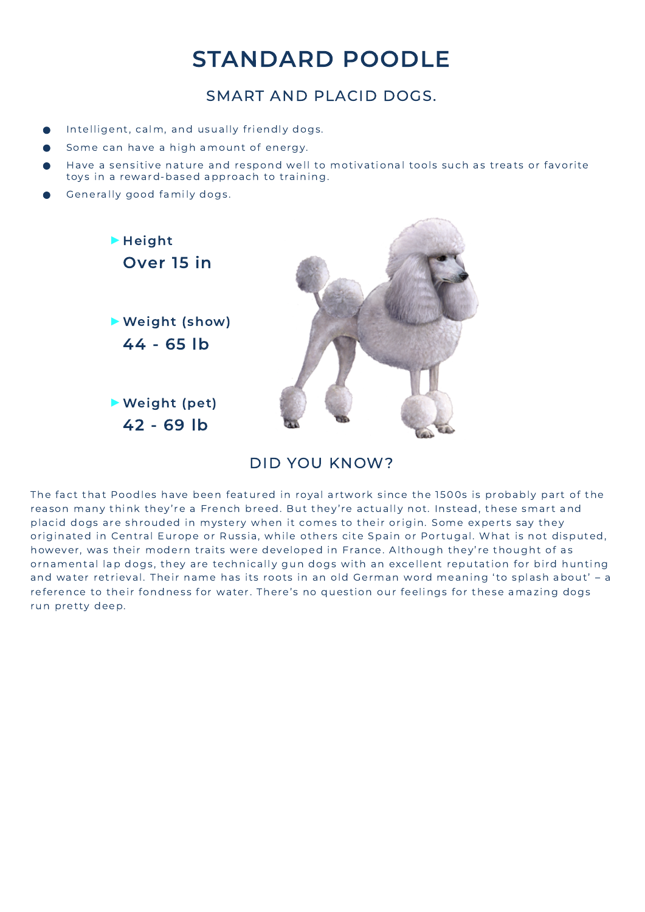## STANDARD POODLE

#### SMART AND PLACID DOGS.

- Intelligent, calm, and usually friendly dogs.
- Some can have a high amount of energy.
- Have a sensitive nature and respond well to motivational tools such as treats or favorite toys in a reward-based approach to training.
- Generally good family dogs.



#### DID YOU KNOW?

The fact that Poodles have been featured in royal artwork since the 1500s is probably part of the reason many think they're a French breed. But they're actually not. Instead, these smart and placid dogs are shrouded in mystery when it comes to their origin. Some experts say they originated in Central Europe or Russia, while others cite Spain or Portugal. What is not disputed, however, was their modern traits were developed in France. Although they're thought of as ornamental lap dogs, they are technically gun dogs with an excellent reputation for bird hunting and water retrieval. Their name has its roots in an old German word meaning 'to splash about' - a reference to their fondness for water. There's no question our feelings for these amazing dogs run pretty deep.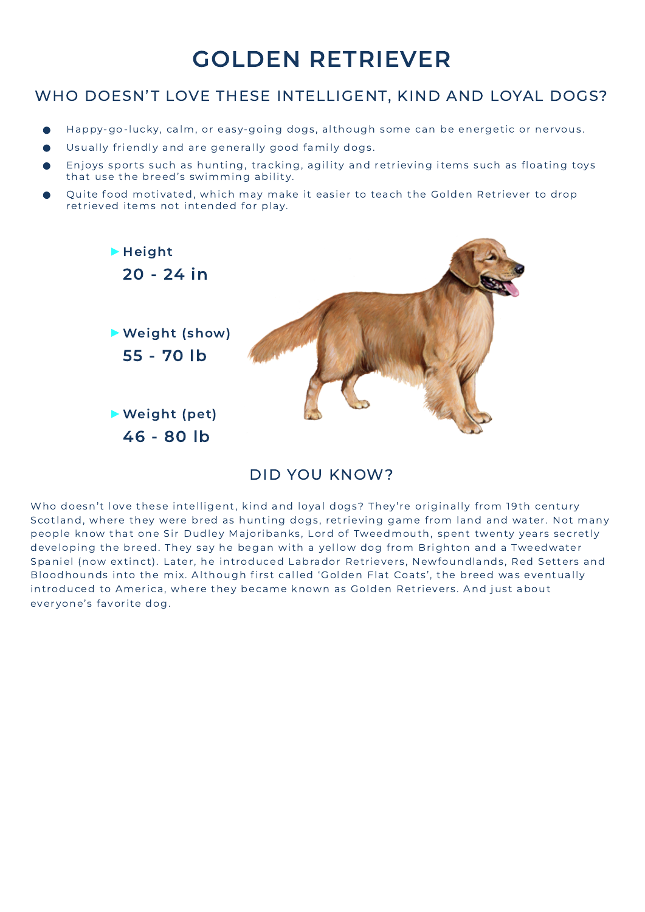## GOLDEN RETRIEVER

#### WHO DOESN'T LOVE THESE INTELLIGENT, KIND AND LOYAL DOGS?

- Happy-go-lucky, calm, or easy-going dogs, although some can be energetic or nervous.
- Usually friendly and are generally good family dogs.
- Enjoys sports such as hunting, tracking, agility and retrieving items such as floating toys that use the breed's swimming ability.
- Quite food motivated, which may make it easier to teach the Golden Retriever to drop retrieved items not intended for play.



#### DID YOU KNOW?

Who doesn't love these intelligent, kind and loyal dogs? They're originally from 19th century Scotland, where they were bred as hunting dogs, retrieving game from land and water. Not many people know that one Sir Dudley Majoribanks, Lord of Tweedmouth, spent twenty years secretly developing the breed. They say he began with a yellow dog from Brighton and a Tweedwater Spaniel (now extinct). Later, he introduced Labrador Retrievers, Newfoundlands, Red Setters and Bloodhounds into the mix. Although first called 'Golden Flat Coats', the breed was eventually introduced to America, where they became known as Golden Retrievers. And just about everyone's favorite dog.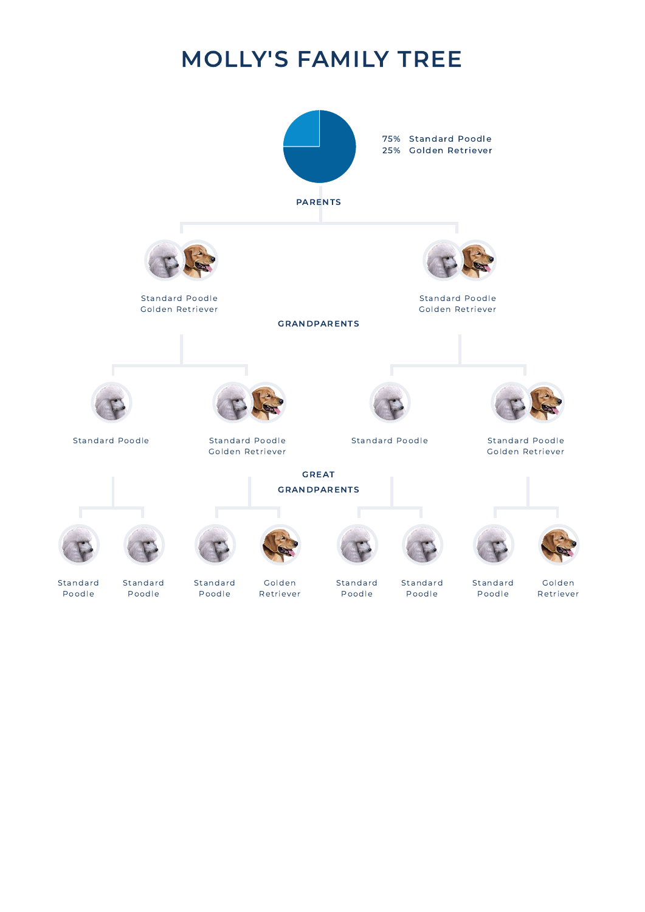## MOLLY'S FAMILY TREE

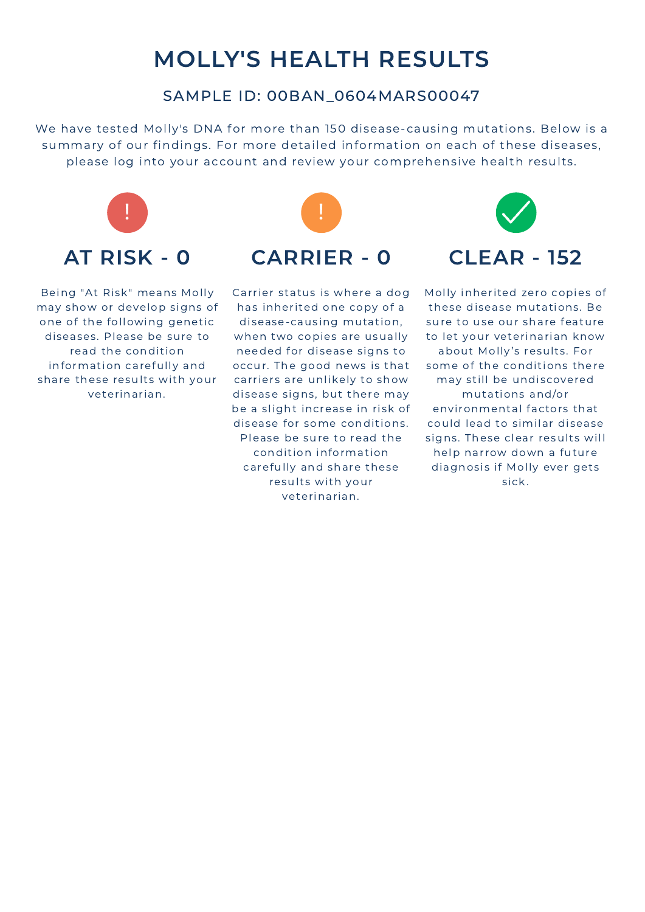## MOLLY'S HEALTH RESULTS

#### SAMPLE ID: 00BAN\_0604MARS00047

We have tested Molly's DNA for more than 150 disease-causing mutations. Below is a summary of our findings. For more detailed information on each of these diseases, please log into your account and review your comprehensive health results.



Being "At Risk" means Molly may show or develop signs of one of the following genetic diseases. Please be sure to read the condition information carefully and share these results with your veterinarian.



Carrier status is where a dog has inherited one copy of a disease-causing mutation, when two copies are usually needed for disease signs to occur. The good news is that carriers are unlikely to show disease signs, but there may be a slight increase in risk of disease for some conditions. Please be sure to read the condition information carefully and share these results with your veterinarian.



Molly inherited zero copies of these disease mutations. Be sure to use our share feature to let your veterinarian know about Molly's results. For some of the conditions there may still be undiscovered mutat ions and/or environmental factors that could lead to similar disease signs. These clear results will help narrow down a future diagnosis if Molly ever gets sick.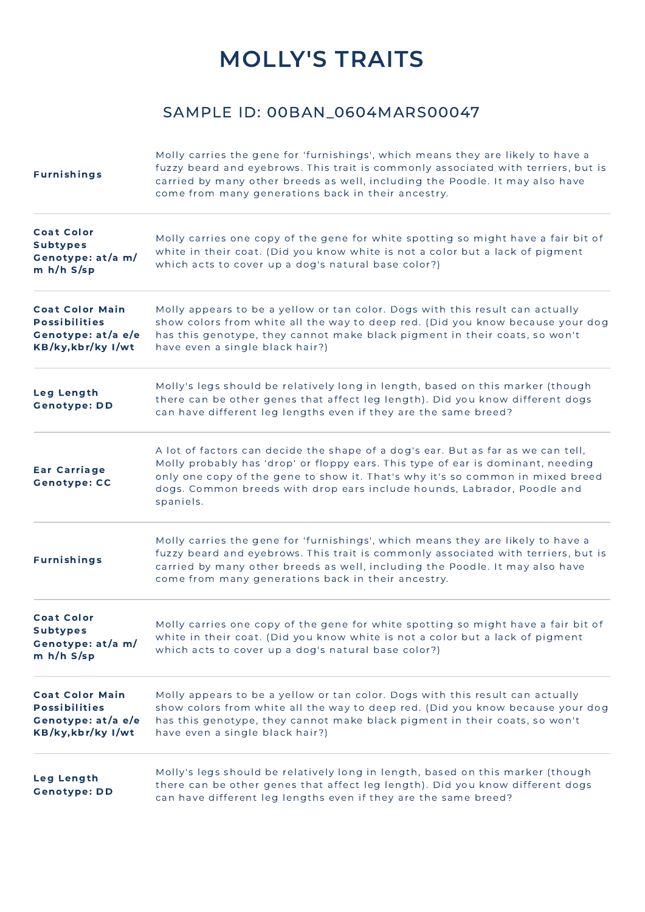## MOLLY'S TRAITS

#### SAMPLE ID: 00BAN\_0604MARS00047

| <b>Furnishings</b>                                                                         | Molly carries the gene for 'furnishings', which means they are likely to have a<br>fuzzy beard and eyebrows. This trait is commonly associated with terriers, but is<br>carried by many other breeds as well, including the Poodle. It may also have<br>come from many generations back in their ancestry.                                    |
|--------------------------------------------------------------------------------------------|-----------------------------------------------------------------------------------------------------------------------------------------------------------------------------------------------------------------------------------------------------------------------------------------------------------------------------------------------|
| <b>Coat Color</b><br><b>Subtypes</b><br>Genotype: at/a m/<br>$m h/h S$ /sp                 | Molly carries one copy of the gene for white spotting so might have a fair bit of<br>white in their coat. (Did you know white is not a color but a lack of pigment<br>which acts to cover up a dog's natural base color?)                                                                                                                     |
| <b>Coat Color Main</b><br><b>Possibilities</b><br>Genotype: at/a e/e<br>KB/ky, kbr/ky I/wt | Molly appears to be a yellow or tan color. Dogs with this result can actually<br>show colors from white all the way to deep red. (Did you know because your dog<br>has this genotype, they cannot make black pigment in their coats, so won't<br>have even a single black hair?)                                                              |
| <b>Leg Length</b><br><b>Genotype: DD</b>                                                   | Molly's legs should be relatively long in length, based on this marker (though<br>there can be other genes that affect leg length). Did you know different dogs<br>can have different leg lengths even if they are the same breed?                                                                                                            |
| <b>Ear Carriage</b><br><b>Genotype: CC</b>                                                 | A lot of factors can decide the shape of a dog's ear. But as far as we can tell,<br>Molly probably has 'drop' or floppy ears. This type of ear is dominant, needing<br>only one copy of the gene to show it. That's why it's so common in mixed breed<br>dogs. Common breeds with drop ears include hounds, Labrador, Poodle and<br>spaniels. |
| <b>Furnishings</b>                                                                         | Molly carries the gene for 'furnishings', which means they are likely to have a<br>fuzzy beard and eyebrows. This trait is commonly associated with terriers, but is<br>carried by many other breeds as well, including the Poodle. It may also have<br>come from many generations back in their ancestry.                                    |
| <b>Coat Color</b><br><b>Subtypes</b><br>Genotype: at/a m/<br>$m h/h S$ /sp                 | Molly carries one copy of the gene for white spotting so might have a fair bit of<br>white in their coat. (Did you know white is not a color but a lack of pigment<br>which acts to cover up a dog's natural base color?)                                                                                                                     |
| <b>Coat Color Main</b><br><b>Possibilities</b><br>Genotype: at/a e/e<br>KB/ky, kbr/ky I/wt | Molly appears to be a yellow or tan color. Dogs with this result can actually<br>show colors from white all the way to deep red. (Did you know because your dog<br>has this genotype, they cannot make black pigment in their coats, so won't<br>have even a single black hair?)                                                              |
| Leg Length<br><b>Genotype: DD</b>                                                          | Molly's legs should be relatively long in length, based on this marker (though<br>there can be other genes that affect leg length). Did you know different dogs<br>can have different leg lengths even if they are the same breed?                                                                                                            |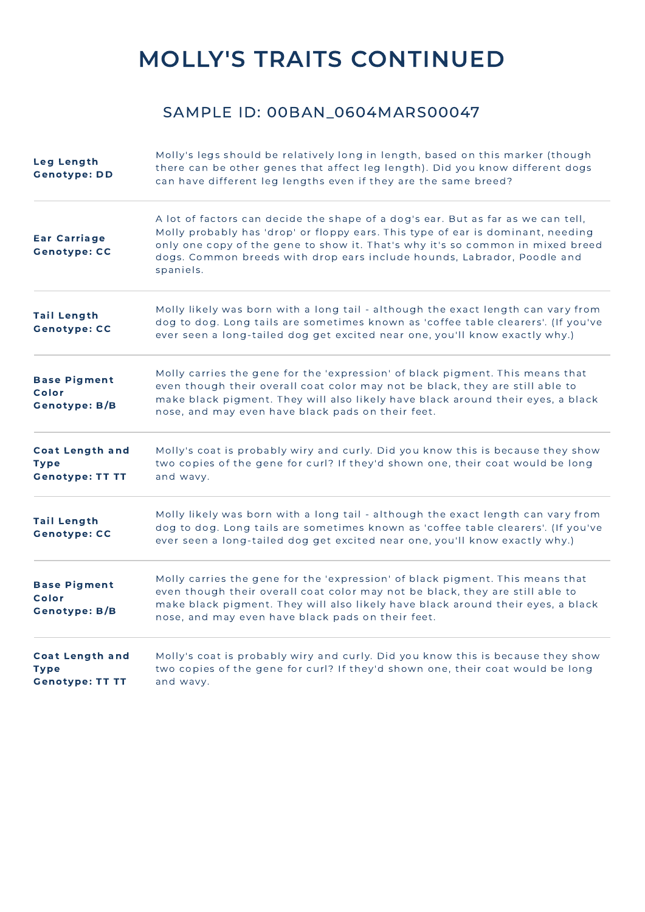## MOLLY'S TRAITS CONTINUED

#### SAMPLE ID: 00BAN\_0604MARS00047

| Leg Length<br><b>Genotype: DD</b>                               | Molly's legs should be relatively long in length, based on this marker (though<br>there can be other genes that affect leg length). Did you know different dogs<br>can have different leg lengths even if they are the same breed?                                                                                                            |
|-----------------------------------------------------------------|-----------------------------------------------------------------------------------------------------------------------------------------------------------------------------------------------------------------------------------------------------------------------------------------------------------------------------------------------|
| <b>Ear Carriage</b><br><b>Genotype: CC</b>                      | A lot of factors can decide the shape of a dog's ear. But as far as we can tell,<br>Molly probably has 'drop' or floppy ears. This type of ear is dominant, needing<br>only one copy of the gene to show it. That's why it's so common in mixed breed<br>dogs. Common breeds with drop ears include hounds, Labrador, Poodle and<br>spaniels. |
| <b>Tail Length</b><br><b>Genotype: CC</b>                       | Molly likely was born with a long tail - although the exact length can vary from<br>dog to dog. Long tails are sometimes known as 'coffee table clearers'. (If you've<br>ever seen a long-tailed dog get excited near one, you'll know exactly why.)                                                                                          |
| <b>Base Pigment</b><br>Color<br><b>Genotype: B/B</b>            | Molly carries the gene for the 'expression' of black pigment. This means that<br>even though their overall coat color may not be black, they are still able to<br>make black pigment. They will also likely have black around their eyes, a black<br>nose, and may even have black pads on their feet.                                        |
| <b>Coat Length and</b><br><b>Type</b><br><b>Genotype: TT TT</b> | Molly's coat is probably wiry and curly. Did you know this is because they show<br>two copies of the gene for curl? If they'd shown one, their coat would be long<br>and wavy.                                                                                                                                                                |
| <b>Tail Length</b><br><b>Genotype: CC</b>                       | Molly likely was born with a long tail - although the exact length can vary from<br>dog to dog. Long tails are sometimes known as 'coffee table clearers'. (If you've<br>ever seen a long-tailed dog get excited near one, you'll know exactly why.)                                                                                          |
| <b>Base Pigment</b><br>Color<br><b>Genotype: B/B</b>            | Molly carries the gene for the 'expression' of black pigment. This means that<br>even though their overall coat color may not be black, they are still able to<br>make black pigment. They will also likely have black around their eyes, a black<br>nose, and may even have black pads on their feet.                                        |
| <b>Coat Length and</b><br><b>Type</b><br><b>Genotype: TT TT</b> | Molly's coat is probably wiry and curly. Did you know this is because they show<br>two copies of the gene for curl? If they'd shown one, their coat would be long<br>and wavy.                                                                                                                                                                |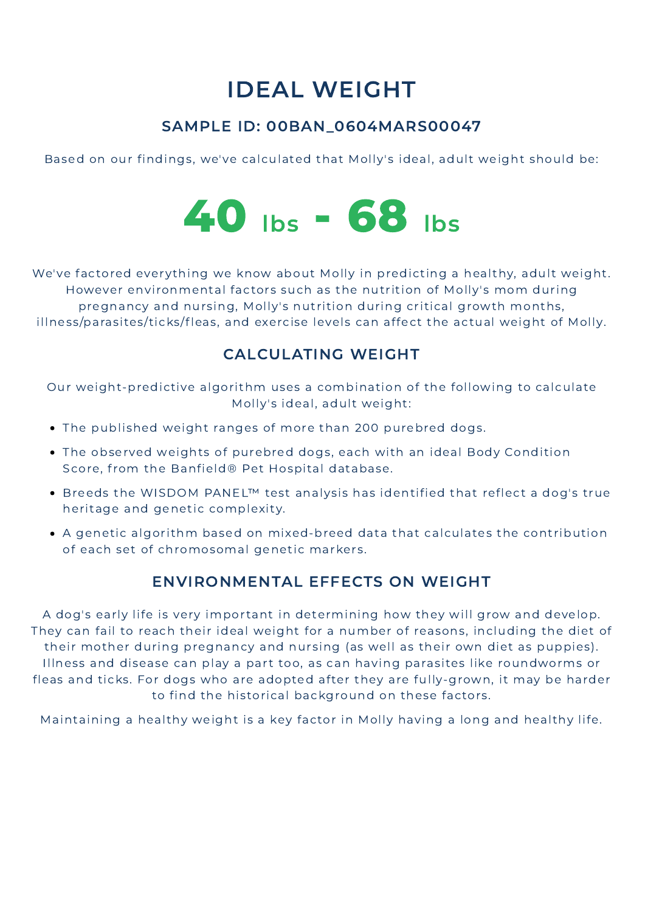## IDEAL WEIGHT

#### SAMPLE ID: 00BAN\_0604MARS00047

Based on our findings, we've calculated that Molly's ideal, adult weight should be:



We've factored everything we know about Molly in predicting a healthy, adult weight. However environmental factors such as the nutrition of Molly's mom during pregnancy and nursing, Molly's nutrition during critical growth months, illness/parasites/ticks/fleas, and exercise levels can affect the actual weight of Molly.

#### CALCULATING WEIGHT

Our weight-predictive algorithm uses a combination of the following to calculate Molly's ideal, adult weight:

- The published weight ranges of more than 200 purebred dogs.
- The observed weights of purebred dogs, each with an ideal Body Condition Score, from the Banfield® Pet Hospital database.
- . Breeds the WISDOM PANEL<sup>™</sup> test analysis has identified that reflect a dog's true heritage and genetic complexity.
- A genetic algorithm based on mixed-breed data that calculates the contribution of each set of chromosomal genetic markers.

#### ENVIRONMENTAL EFFECTS ON WEIGHT

A dog's early life is very important in determining how they will grow and develop. They can fail to reach their ideal weight for a number of reasons, including the diet of their mother during pregnancy and nursing (as well as their own diet as puppies). Illness and disease can play a part too, as can having parasites like roundworms or fleas and ticks. For dogs who are adopted after they are fully-grown, it may be harder to find the historical background on these factors.

Maintaining a healthy weight is a key factor in Molly having a long and healthy life.